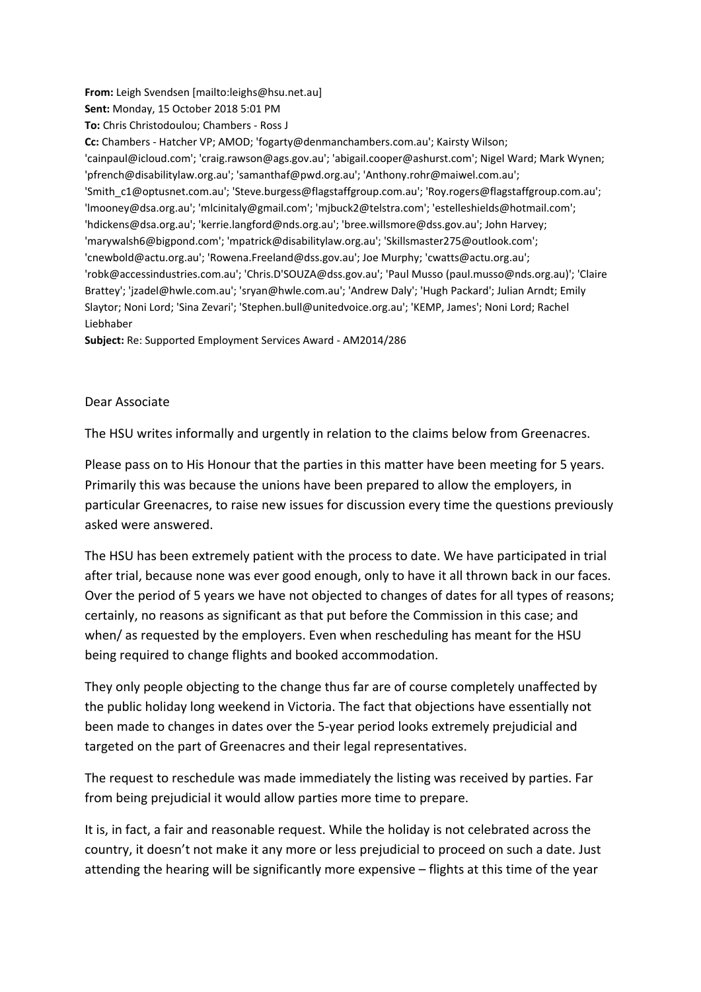**Sent:** Monday, 15 October 2018 5:01 PM **To:** Chris Christodoulou; Chambers - Ross J **Cc:** Chambers - Hatcher VP; AMOD; 'fogarty@denmanchambers.com.au'; Kairsty Wilson; 'cainpaul@icloud.com'; 'craig.rawson@ags.gov.au'; 'abigail.cooper@ashurst.com'; Nigel Ward; Mark Wynen; 'pfrench@disabilitylaw.org.au'; 'samanthaf@pwd.org.au'; 'Anthony.rohr@maiwel.com.au'; 'Smith\_c1@optusnet.com.au'; 'Steve.burgess@flagstaffgroup.com.au'; 'Roy.rogers@flagstaffgroup.com.au'; 'lmooney@dsa.org.au'; 'mlcinitaly@gmail.com'; 'mjbuck2@telstra.com'; 'estelleshields@hotmail.com'; 'hdickens@dsa.org.au'; 'kerrie.langford@nds.org.au'; 'bree.willsmore@dss.gov.au'; John Harvey; 'marywalsh6@bigpond.com'; 'mpatrick@disabilitylaw.org.au'; 'Skillsmaster275@outlook.com'; 'cnewbold@actu.org.au'; 'Rowena.Freeland@dss.gov.au'; Joe Murphy; 'cwatts@actu.org.au'; 'robk@accessindustries.com.au'; 'Chris.D'SOUZA@dss.gov.au'; 'Paul Musso (paul.musso@nds.org.au)'; 'Claire Brattey'; 'jzadel@hwle.com.au'; 'sryan@hwle.com.au'; 'Andrew Daly'; 'Hugh Packard'; Julian Arndt; Emily Slaytor; Noni Lord; 'Sina Zevari'; 'Stephen.bull@unitedvoice.org.au'; 'KEMP, James'; Noni Lord; Rachel Liebhaber

**Subject:** Re: Supported Employment Services Award - AM2014/286

**From:** Leigh Svendsen [mailto:leighs@hsu.net.au]

## Dear Associate

The HSU writes informally and urgently in relation to the claims below from Greenacres.

Please pass on to His Honour that the parties in this matter have been meeting for 5 years. Primarily this was because the unions have been prepared to allow the employers, in particular Greenacres, to raise new issues for discussion every time the questions previously asked were answered.

The HSU has been extremely patient with the process to date. We have participated in trial after trial, because none was ever good enough, only to have it all thrown back in our faces. Over the period of 5 years we have not objected to changes of dates for all types of reasons; certainly, no reasons as significant as that put before the Commission in this case; and when/ as requested by the employers. Even when rescheduling has meant for the HSU being required to change flights and booked accommodation.

They only people objecting to the change thus far are of course completely unaffected by the public holiday long weekend in Victoria. The fact that objections have essentially not been made to changes in dates over the 5-year period looks extremely prejudicial and targeted on the part of Greenacres and their legal representatives.

The request to reschedule was made immediately the listing was received by parties. Far from being prejudicial it would allow parties more time to prepare.

It is, in fact, a fair and reasonable request. While the holiday is not celebrated across the country, it doesn't not make it any more or less prejudicial to proceed on such a date. Just attending the hearing will be significantly more expensive – flights at this time of the year